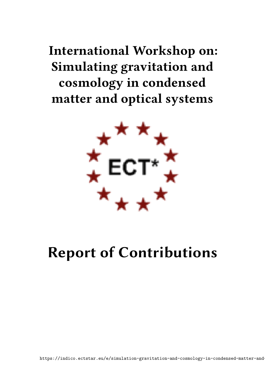# **International Workshop on: Simulating gravitation and cosmology in condensed matter and optical systems**



# **Report of Contributions**

https://indico.ectstar.eu/e/simulation-gravitation-and-cosmology-in-condensed-matter-and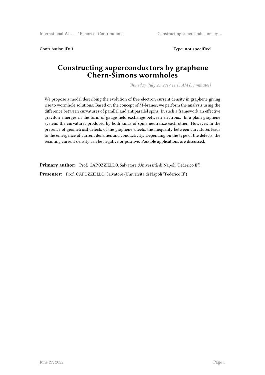Contribution ID: **3** Type: **not specified**

#### **Constructing superconductors by graphene Chern-Simons wormholes**

*Thursday, July 25, 2019 11:15 AM (30 minutes)*

We propose a model describing the evolution of free electron current density in graphene giving rise to wormhole solutions. Based on the concept of M-branes, we perform the analysis using the difference between curvatures of parallel and antiparallel spins. In such a framework an effective graviton emerges in the form of gauge field exchange between electrons. In a plain graphene system, the curvatures produced by both kinds of spins neutralize each other. However, in the presence of geometrical defects of the graphene sheets, the inequality between curvatures leads to the emergence of current densities and conductivity. Depending on the type of the defects, the resulting current density can be negative or positive. Possible applications are discussed.

**Primary author:** Prof. CAPOZZIELLO, Salvatore (Università di Napoli "Federico II") **Presenter:** Prof. CAPOZZIELLO, Salvatore (Università di Napoli "Federico II")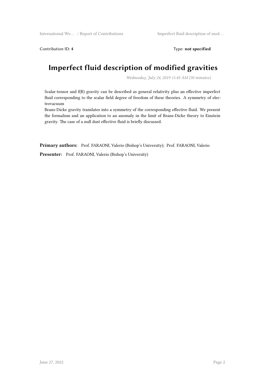Contribution ID: 4 Type: **not specified** 

### **Imperfect fluid description of modified gravities**

*Wednesday, July 24, 2019 11:45 AM (30 minutes)*

Scalar-tensor and f(R) gravity can be described as general relativity plus an effective imperfect fluid corresponding to the scalar field degree of freedom of these theories. A symmetry of electrovacuum

Brans-Dicke gravity translates into a symmetry of the corresponding effective fluid. We present the formalism and an application to an anomaly in the limit of Brans-Dicke theory to Einstein gravity. The case of a null dust effective fluid is briefly discussed.

**Primary authors:** Prof. FARAONI, Valerio (Bishop's University); Prof. FARAONI, Valerio

**Presenter:** Prof. FARAONI, Valerio (Bishop's University)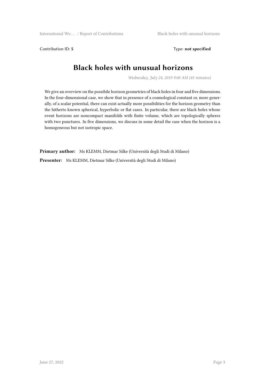Contribution ID: 5 Type: **not specified** 

#### **Black holes with unusual horizons**

*Wednesday, July 24, 2019 9:00 AM (45 minutes)*

We give an overview on the possibile horizon geometries of black holes in four and five dimensions. In the four-dimensional case, we show that in presence of a cosmological constant or, more generally, of a scalar potential, there can exist actually more possibilities for the horizon geometry than the hitherto known spherical, hyperbolic or flat cases. In particular, there are black holes whose event horizons are noncompact manifolds with finite volume, which are topologically spheres with two punctures. In five dimensions, we discuss in some detail the case when the horizon is a homogeneous but not isotropic space.

**Primary author:** Ms KLEMM, Dietmar Silke (Università degli Studi di Milano)

**Presenter:** Ms KLEMM, Dietmar Silke (Università degli Studi di Milano)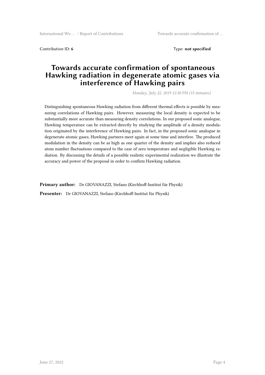Contribution ID: 6 **Type: not specified Type: not specified** 

#### **Towards accurate confirmation of spontaneous Hawking radiation in degenerate atomic gases via interference of Hawking pairs**

*Monday, July 22, 2019 12:30 PM (15 minutes)*

Distinguishing spontaneous Hawking radiation from different thermal effects is possible by measuring correlations of Hawking pairs. However, measuring the local density is expected to be substantially more accurate than measuring density correlations. In our proposed sonic analogue, Hawking temperature can be extracted directly by studying the amplitude of a density modulation originated by the interference of Hawking pairs. In fact, in the proposed sonic analogue in degenerate atomic gases, Hawking partners meet again at some time and interfere. The produced modulation in the density can be as high as one quarter of the density and implies also reduced atom number fluctuations compared to the case of zero temperature and negligible Hawking radiation. By discussing the details of a possible realistic experimental realization we illustrate the accuracy and power of the proposal in order to confirm Hawking radiation.

**Primary author:** Dr GIOVANAZZI, Stefano (Kirchhoff-Institut für Physik)

**Presenter:** Dr GIOVANAZZI, Stefano (Kirchhoff-Institut für Physik)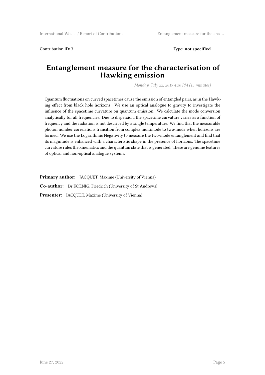Contribution ID: **7** Type: **not specified**

#### **Entanglement measure for the characterisation of Hawking emission**

*Monday, July 22, 2019 4:30 PM (15 minutes)*

Quantum fluctuations on curved spacetimes cause the emission of entangled pairs, as in the Hawking effect from black hole horizons. We use an optical analogue to gravity to investigate the influence of the spacetime curvature on quantum emission. We calculate the mode conversion analytically for all frequencies. Due to dispersion, the spacetime curvature varies as a function of frequency and the radiation is not described by a single temperature. We find that the measurable photon number correlations transition from complex multimode to two-mode when horizons are formed. We use the Logarithmic Negativity to measure the two-mode entanglement and find that its magnitude is enhanced with a characteristic shape in the presence of horizons. The spacetime curvature rules the kinematics and the quantum state that is generated. These are genuine features of optical and non-optical analogue systems.

**Primary author:** JACQUET, Maxime (University of Vienna)

**Co-author:** Dr KOENIG, Friedrich (University of St Andrews)

**Presenter:** JACQUET, Maxime (University of Vienna)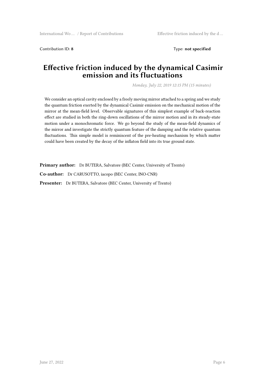Contribution ID: **8** Type: **not specified**

#### **Effective friction induced by the dynamical Casimir emission and its fluctuations**

*Monday, July 22, 2019 12:15 PM (15 minutes)*

We consider an optical cavity enclosed by a freely moving mirror attached to a spring and we study the quantum friction exerted by the dynamical Casimir emission on the mechanical motion of the mirror at the mean-field level. Observable signatures of this simplest example of back-reaction effect are studied in both the ring-down oscillations of the mirror motion and in its steady-state motion under a monochromatic force. We go beyond the study of the mean-field dynamics of the mirror and investigate the strictly quantum feature of the damping and the relative quantum fluctuations. This simple model is reminiscent of the pre-heating mechanism by which matter could have been created by the decay of the inflaton field into its true ground state.

**Primary author:** Dr BUTERA, Salvatore (BEC Center, University of Trento)

**Co-author:** Dr CARUSOTTO, iacopo (BEC Center, INO-CNR)

**Presenter:** Dr BUTERA, Salvatore (BEC Center, University of Trento)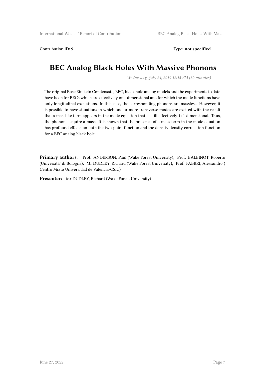Contribution ID: 9 Type: **not specified** 

#### **BEC Analog Black Holes With Massive Phonons**

*Wednesday, July 24, 2019 12:15 PM (30 minutes)*

The original Bose Einstein Condensate, BEC, black hole analog models and the experiments to date have been for BECs which are effectively one-dimensional and for which the mode functions have only longitudinal excitations. In this case, the corresponding phonons are massless. However, it is possible to have situations in which one or more transverse modes are excited with the result that a masslike term appears in the mode equation that is still effectively 1+1 dimensional. Thus, the phonons acquire a mass. It is shown that the presence of a mass term in the mode equation has profound effects on both the two-point function and the density density correlation function for a BEC analog black hole.

**Primary authors:** Prof. ANDERSON, Paul (Wake Forest University); Prof. BALBINOT, Roberto (Università' di Bologna); Mr DUDLEY, Richard (Wake Forest University); Prof. FABBRI, Alessandro ( Centro Mixto Universidad de Valencia-CSIC)

**Presenter:** Mr DUDLEY, Richard (Wake Forest University)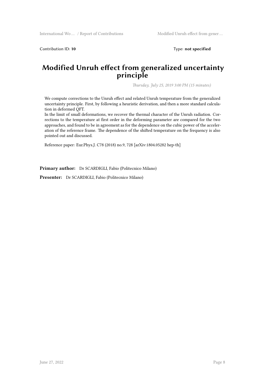Contribution ID: 10 Type: not specified

#### **Modified Unruh effect from generalized uncertainty principle**

*Thursday, July 25, 2019 3:00 PM (15 minutes)*

We compute corrections to the Unruh effect and related Unruh temperature from the generalized uncertainty principle. First, by following a heuristic derivation, and then a more standard calculation in deformed QFT.

In the limit of small deformations, we recover the thermal character of the Unruh radiation. Corrections to the temperature at first order in the deforming parameter are compared for the two approaches, and found to be in agreement as for the dependence on the cubic power of the acceleration of the reference frame. The dependence of the shifted temperature on the frequency is also pointed out and discussed.

Reference paper: Eur.Phys.J. C78 (2018) no.9, 728 [arXiv:1804.05282 hep-th]

**Primary author:** Dr SCARDIGLI, Fabio (Politecnico Milano)

**Presenter:** Dr SCARDIGLI, Fabio (Politecnico Milano)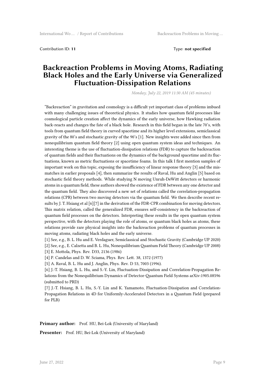Contribution ID: **11** Type: **not specified**

#### **Backreaction Problems in Moving Atoms, Radiating Black Holes and the Early Universe via Generalized Fluctuation-Dissipation Relations**

*Monday, July 22, 2019 11:30 AM (45 minutes)*

"Backreaction" in gravitation and cosmology is a difficult yet important class of problems imbued with many challenging issues of theoretical physics. It studies how quantum field processes like cosmological particle creation affect the dynamics of the early universe, how Hawking radiation back-reacts and changes the fate of a black hole. Research in this field began in the late 70's, with tools from quantum field theory in curved spacetime and its higher level extensions, semiclassical gravity of the 80's and stochastic gravity of the 90's [1]. New insights were added since then from nonequilibrium quantum field theory [2] using open quantum system ideas and techniques. An interesting theme is the use of fluctuation-dissipation relations (FDR) to capture the backreaction of quantum fields and their fluctuations on the dynamics of the background spacetime and its fluctuations, known as metric fluctuations or spacetime foams. In this talk I first mention samples of important work on this topic, exposing the insufficiency of linear response theory [3] and the mismatches in earlier proposals [4], then summarize the results of Raval, Hu and Anglin [5] based on stochastic field theory methods. While studying N moving Unruh-DeWitt detectors or harmonic atoms in a quantum field, these authors showed the existence of FDR between any one detector and the quantum field. They also discovered a new set of relations called the correlation-propagation relations (CPR) between two moving detectors via the quantum field. We then describe recent results by J. T. Hsiang et al [6][7] in the derivation of the FDR-CPR combination for moving detectors. This matrix relation, called the generalized FDR, ensures self-consistency in the backreaction of quantum field processes on the detectors. Interpreting these results in the open quantum system perspective, with the detectors playing the role of atoms, or quantum black holes as atoms, these relations provide rare physical insights into the backreaction problems of quantum processes in moving atoms, radiating black holes and the early universe.

[1] See, e.g., B. L. Hu and E. Verdaguer, Semiclassical and Stochastic Gravity (Cambridge UP 2020) [2] See, e.g., E. Calzetta and B. L. Hu, Nonequilibrium Quantum Field Theory (Cambridge UP 2008)

[3] E. Mottola, Phys. Rev. D33, 2136 (1986)

[4] P. Candelas and D. W. Sciama, Phys. Rev. Lett. 38, 1372 (1977)

[5] A. Raval, B. L. Hu and J. Anglin, Phys. Rev. D 53, 7003 (1996).

[6] J.-T. Hsiang, B. L. Hu, and S.-Y. Lin, Fluctuation-Dissipation and Correlation-Propagation Relations from the Nonequilibrium Dynamics of Detector-Quantum Field Systems arXiv:1905.08596 (submitted to PRD)

[7] J.-T. Hsiang, B. L. Hu, S.-Y. Lin and K. Yamamoto, Fluctuation-Dissipation and Correlation-Propagation Relations in 4D for Uniformly-Accelerated Detectors in a Quantum Field (prepared for PLB)

Primary author: Prof. HU, Bei-Lok (University of Maryland)

Presenter: Prof. HU, Bei-Lok (University of Maryland)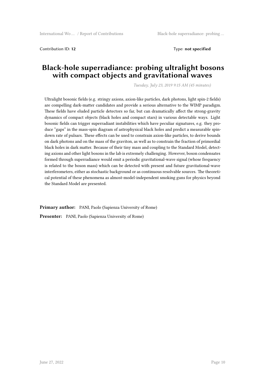Contribution ID: **12** Type: **not specified**

#### **Black-hole superradiance: probing ultralight bosons with compact objects and gravitational waves**

*Tuesday, July 23, 2019 9:15 AM (45 minutes)*

Ultralight bosonic fields (e.g. stringy axions, axion-like particles, dark photons, light spin-2 fields) are compelling dark-matter candidates and provide a serious alternative to the WIMP paradigm. These fields have eluded particle detectors so far, but can dramatically affect the strong-gravity dynamics of compact objects (black holes and compact stars) in various detectable ways. Light bosonic fields can trigger superradiant instabilities which have peculiar signatures, e.g. they produce "gaps" in the mass-spin diagram of astrophysical black holes and predict a measurable spindown rate of pulsars. These effects can be used to constrain axion-like particles, to derive bounds on dark photons and on the mass of the graviton, as well as to constrain the fraction of primordial black holes in dark matter. Because of their tiny mass and coupling to the Standard Model, detecting axions and other light bosons in the lab is extremely challenging. However, boson condensates formed through superradiance would emit a periodic gravitational-wave signal (whose frequency is related to the boson mass) which can be detected with present and future gravitational-wave interferometers, either as stochastic background or as continuous resolvable sources. The theoretical potential of these phenomena as almost-model-independent smoking guns for physics beyond the Standard Model are presented.

**Primary author:** PANI, Paolo (Sapienza University of Rome) **Presenter:** PANI, Paolo (Sapienza University of Rome)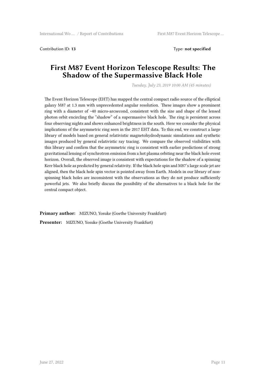Contribution ID: **13** Type: **not specified**

#### **First M87 Event Horizon Telescope Results: The Shadow of the Supermassive Black Hole**

*Tuesday, July 23, 2019 10:00 AM (45 minutes)*

The Event Horizon Telescope (EHT) has mapped the central compact radio source of the elliptical galaxy M87 at 1.3 mm with unprecedented angular resolution. These images show a prominent ring with a diameter of ~40 micro-arcsecond, consistent with the size and shape of the lensed photon orbit encircling the "shadow" of a supermassive black hole. The ring is persistent across four observing nights and shows enhanced brightness in the south. Here we consider the physical implications of the asymmetric ring seen in the 2017 EHT data. To this end, we construct a large library of models based on general relativistic magnetohydrodynamic simulations and synthetic images produced by general relativistic ray tracing. We compare the observed visibilities with this library and confirm that the asymmetric ring is consistent with earlier predictions of strong gravitational lensing of synchrotron emission from a hot plasma orbiting near the black hole event horizon. Overall, the observed image is consistent with expectations for the shadow of a spinning Kerr black hole as predicted by general relativity. If the black hole spin and M87's large scale jet are aligned, then the black hole spin vector is pointed away from Earth. Models in our library of nonspinning black holes are inconsistent with the observations as they do not produce sufficiently powerful jets. We also briefly discuss the possibility of the alternatives to a black hole for the central compact object.

**Primary author:** MIZUNO, Yosuke (Goethe University Frankfurt)

**Presenter:** MIZUNO, Yosuke (Goethe University Frankfurt)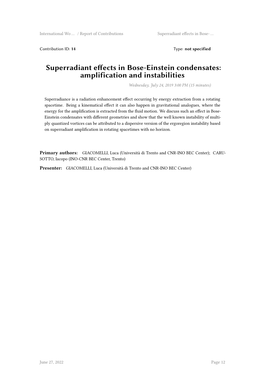Contribution ID: **14** Type: **not specified**

#### **Superradiant effects in Bose-Einstein condensates: amplification and instabilities**

*Wednesday, July 24, 2019 3:00 PM (15 minutes)*

Superradiance is a radiation enhancement effect occurring by energy extraction from a rotating spacetime. Being a kinematical effect it can also happen in gravitational analogues, where the energy for the amplification is extracted from the fluid motion. We discuss such an effect in Bose-Einstein condensates with different geometries and show that the well known instability of multiply quantized vortices can be attributed to a dispersive version of the ergoregion instability based on superradiant amplification in rotating spacetimes with no horizon.

**Primary authors:** GIACOMELLI, Luca (Università di Trento and CNR-INO BEC Center); CARU-SOTTO, Iacopo (INO-CNR BEC Center, Trento)

**Presenter:** GIACOMELLI, Luca (Università di Trento and CNR-INO BEC Center)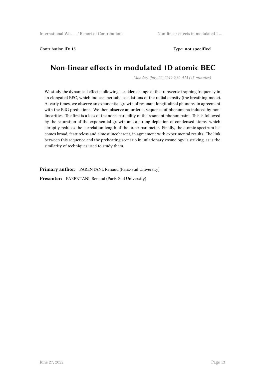Contribution ID: **15** Type: **not specified**

#### **Non-linear effects in modulated 1D atomic BEC**

*Monday, July 22, 2019 9:30 AM (45 minutes)*

We study the dynamical effects following a sudden change of the transverse trapping frequency in an elongated BEC, which induces periodic oscillations of the radial density (the breathing mode). At early times, we observe an exponential growth of resonant longitudinal phonons, in agreement with the BdG predictions. We then observe an ordered sequence of phenomena induced by nonlinearities. The first is a loss of the nonseparability of the resonant phonon pairs. This is followed by the saturation of the exponential growth and a strong depletion of condensed atoms, which abruptly reduces the correlation length of the order parameter. Finally, the atomic spectrum becomes broad, featureless and almost incoherent, in agreement with experimental results. The link between this sequence and the preheating scenario in inflationary cosmology is striking, as is the similarity of techniques used to study them.

**Primary author:** PARENTANI, Renaud (Paris-Sud University)

**Presenter:** PARENTANI, Renaud (Paris-Sud University)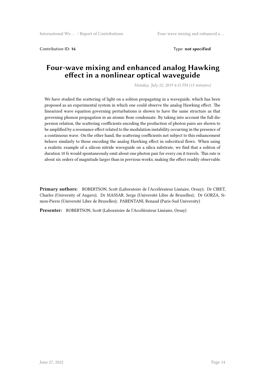Contribution ID: 16 Type: **not specified** 

#### **Four-wave mixing and enhanced analog Hawking effect in a nonlinear optical waveguide**

*Monday, July 22, 2019 4:15 PM (15 minutes)*

We have studied the scattering of light on a soliton propagating in a waveguide, which has been proposed as an experimental system in which one could observe the analog Hawking effect. The linearized wave equation governing perturbations is shown to have the same structure as that governing phonon propagation in an atomic Bose condensate. By taking into account the full dispersion relation, the scattering coefficients encoding the production of photon pairs are shown to be amplified by a resonance effect related to the modulation instability occurring in the presence of a continuous wave. On the other hand, the scattering coefficients not subject to this enhancement behave similarly to those encoding the analog Hawking effect in subcritical flows. When using a realistic example of a silicon nitride waveguide on a silica substrate, we find that a soliton of duration 10 fs would spontaneously emit about one photon pair for every cm it travels. This rate is about six orders of magnitude larger than in previous works, making the effect readily observable.

**Primary authors:** ROBERTSON, Scott (Laboratoire de l'Accélérateur Linéaire, Orsay); Dr CIRET, Charles (University of Angers); Dr MASSAR, Serge (Université Libre de Bruxelles); Dr GORZA, Simon-Pierre (Université Libre de Bruxelles); PARENTANI, Renaud (Paris-Sud University)

**Presenter:** ROBERTSON, Scott (Laboratoire de l'Accélérateur Linéaire, Orsay)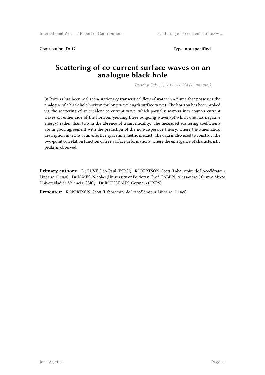Contribution ID: **17** Type: **not specified**

#### **Scattering of co-current surface waves on an analogue black hole**

*Tuesday, July 23, 2019 3:00 PM (15 minutes)*

In Poitiers has been realized a stationary transcritical flow of water in a flume that possesses the analogue of a black hole horizon for long-wavelength surface waves. The horizon has been probed via the scattering of an incident co-current wave, which partially scatters into counter-current waves on either side of the horizon, yielding three outgoing waves (of which one has negative energy) rather than two in the absence of transcriticality. The measured scattering coefficients are in good agreement with the prediction of the non-dispersive theory, where the kinematical description in terms of an effective spacetime metric is exact. The data is also used to construct the two-point correlation function of free surface deformations, where the emergence of characteristic peaks is observed.

**Primary authors:** Dr EUVÉ, Léo-Paul (ESPCI); ROBERTSON, Scott (Laboratoire de l'Accélérateur Linéaire, Orsay); Dr JAMES, Nicolas (University of Poitiers); Prof. FABBRI, Alessandro ( Centro Mixto Universidad de Valencia-CSIC); Dr ROUSSEAUX, Germain (CNRS)

**Presenter:** ROBERTSON, Scott (Laboratoire de l'Accélérateur Linéaire, Orsay)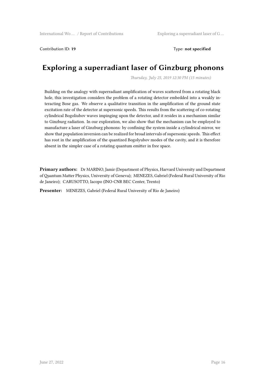Contribution ID: **19** Type: **not specified**

#### **Exploring a superradiant laser of Ginzburg phonons**

*Thursday, July 25, 2019 12:30 PM (15 minutes)*

Building on the analogy with superradiant amplification of waves scattered from a rotating black hole, this investigation considers the problem of a rotating detector embedded into a weakly interacting Bose gas. We observe a qualitative transition in the amplification of the ground state excitation rate of the detector at supersonic speeds. This results from the scattering of co-rotating cylindrical Bogoliubov waves impinging upon the detector, and it resides in a mechanism similar to Ginzburg radiation. In our exploration, we also show that the mechanism can be employed to manufacture a laser of Ginzburg phonons: by confining the system inside a cylindrical mirror, we show that population inversion can be realized for broad intervals of supersonic speeds. This effect has root in the amplification of the quantized Bogolyubov modes of the cavity, and it is therefore absent in the simpler case of a rotating quantum emitter in free space.

**Primary authors:** Dr MARINO, Jamir (Department of Physics, Harvard University and Department of Quantum Matter Physics, University of Geneva); MENEZES, Gabriel (Federal Rural University of Rio de Janeiro); CARUSOTTO, Iacopo (INO-CNR BEC Center, Trento)

**Presenter:** MENEZES, Gabriel (Federal Rural University of Rio de Janeiro)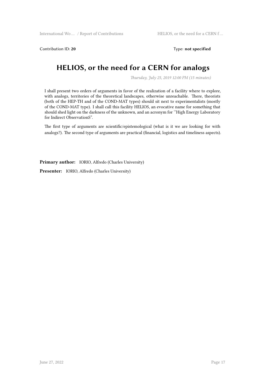Contribution ID: 20 Type: not specified

#### **HELIOS, or the need for a CERN for analogs**

*Thursday, July 25, 2019 12:00 PM (15 minutes)*

I shall present two orders of arguments in favor of the realization of a facility where to explore, with analogs, territories of the theoretical landscapes, otherwise unreachable. There, theorists (both of the HEP-TH and of the COND-MAT types) should sit next to experimentalists (mostly of the COND-MAT type). I shall call this facility HELIOS, an evocative name for something that should shed light on the darkness of the unknown, and an acronym for ''High Energy Laboratory for Indirect ObservationS".

The first type of arguments are scientific/epistemological (what is it we are looking for with analogs?). The second type of arguments are practical (financial, logistics and timeliness aspects).

**Primary author:** IORIO, Alfredo (Charles University)

**Presenter:** IORIO, Alfredo (Charles University)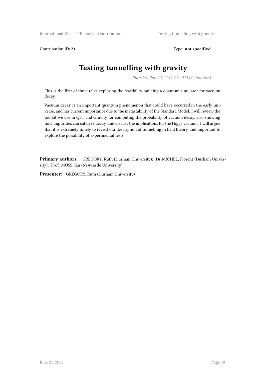International Wo … / Report of Contributions Testing tunnelling with gravity

Contribution ID: **21** Type: **not specified**

## **Testing tunnelling with gravity**

*Thursday, July 25, 2019 9:30 AM (30 minutes)*

This is the first of three talks exploring the feasibility building a quantum simulator for vacuum decay.

Vacuum decay is an important quantum phenomenon that could have occurred in the early universe, and has current importance due to the metastability of the Standard Model. I will review the toolkit we use in QFT and Gravity for computing the probability of vacuum decay, also showing how impurities can catalyse decay, and discuss the implications for the Higgs vacuum. I will argue that it is extremely timely to revisit our description of tunnelling in field theory, and important to explore the possibility of experimental tests.

**Primary authors:** GREGORY, Ruth (Durham University); Dr MICHEL, Florent (Durham University); Prof. MOSS, Ian (Newcastle University)

**Presenter:** GREGORY, Ruth (Durham University)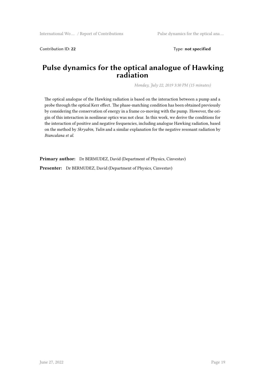Contribution ID: **22** Type: **not specified**

#### **Pulse dynamics for the optical analogue of Hawking radiation**

*Monday, July 22, 2019 3:30 PM (15 minutes)*

The optical analogue of the Hawking radiation is based on the interaction between a pump and a probe through the optical Kerr effect. The phase-matching condition has been obtained previously by considering the conservation of energy in a frame co-moving with the pump. However, the origin of this interaction in nonlinear optics was not clear. In this work, we derive the conditions for the interaction of positive and negative frequencies, including analogue Hawking radiation, based on the method by *Skryabin, Yulin* and a similar explanation for the negative resonant radiation by *Biancalana et al*.

**Primary author:** Dr BERMUDEZ, David (Department of Physics, Cinvestav)

**Presenter:** Dr BERMUDEZ, David (Department of Physics, Cinvestav)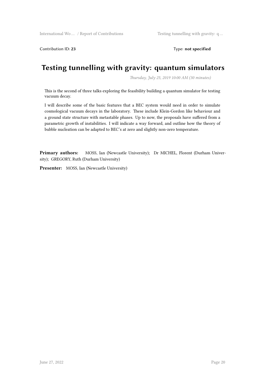Contribution ID: **23** Type: **not specified**

#### **Testing tunnelling with gravity: quantum simulators**

*Thursday, July 25, 2019 10:00 AM (30 minutes)*

This is the second of three talks exploring the feasibility building a quantum simulator for testing vacuum decay.

I will describe some of the basic features that a BEC system would need in order to simulate cosmological vacuum decays in the laboratory. These include Klein-Gordon like behaviour and a ground state structure with metastable phases. Up to now, the proposals have suffered from a parametric growth of instabilities. I will indicate a way forward, and outline how the theory of bubble nucleation can be adapted to BEC's at zero and slightly non-zero temperature.

Primary authors: MOSS, Ian (Newcastle University); Dr MICHEL, Florent (Durham University); GREGORY, Ruth (Durham University)

**Presenter:** MOSS, Ian (Newcastle University)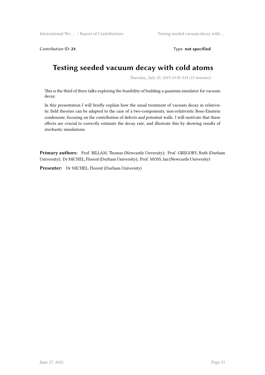International Wo ... / Report of Contributions Testing seeded vacuum decay with ...

Contribution ID: **24** Type: **not specified**

#### **Testing seeded vacuum decay with cold atoms**

*Thursday, July 25, 2019 10:30 AM (15 minutes)*

This is the third of three talks exploring the feasibility of building a quantum simulator for vacuum decay.

In this presentation I will briefly explain how the usual treatment of vacuum decay in relativistic field theories can be adapted to the case of a two-components, non-relativistic Bose-Einstein condensate, focusing on the contribution of defects and potential walls. I will motivate that these effects are crucial to correctly estimate the decay rate, and illustrate this by showing results of stochastic simulations.

**Primary authors:** Prof. BILLAM, Thomas (Newcastle Unversity); Prof. GREGORY, Ruth (Durham University); Dr MICHEL, Florent (Durham University); Prof. MOSS, Ian (Newcastle University)

**Presenter:** Dr MICHEL, Florent (Durham University)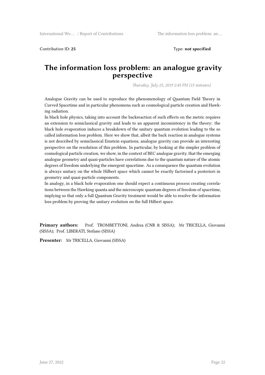Contribution ID: **25** Type: **not specified**

#### **The information loss problem: an analogue gravity perspective**

*Thursday, July 25, 2019 2:45 PM (15 minutes)*

Analogue Gravity can be used to reproduce the phenomenology of Quantum Field Theory in Curved Spacetime and in particular phenomena such as cosmological particle creation and Hawking radiation.

In black hole physics, taking into account the backreaction of such effects on the metric requires an extension to semiclassical gravity and leads to an apparent inconsistency in the theory: the black hole evaporation induces a breakdown of the unitary quantum evolution leading to the so called information loss problem. Here we show that, albeit the back reaction in analogue systems is not described by semiclassical Einstein equations, analogue gravity can provide an interesting perspective on the resolution of this problem. In particular, by looking at the simpler problem of cosmological particle creation, we show, in the context of BEC analogue gravity, that the emerging analogue geometry and quasi-particles have correlations due to the quantum nature of the atomic degrees of freedom underlying the emergent spacetime. As a consequence the quantum evolution is always unitary on the whole Hilbert space which cannot be exactly factorised a posteriori in geometry and quasi-particle components.

In analogy, in a black hole evaporation one should expect a continuous process creating correlations between the Hawking quanta and the microscopic quantum degrees of freedom of spacetime, implying so that only a full Quantum Gravity treatment would be able to resolve the information loss problem by proving the unitary evolution on the full Hilbert space.

**Primary authors:** Prof. TROMBETTONI, Andrea (CNR & SISSA); Mr TRICELLA, Giovanni (SISSA); Prof. LIBERATI, Stefano (SISSA)

**Presenter:** Mr TRICELLA, Giovanni (SISSA)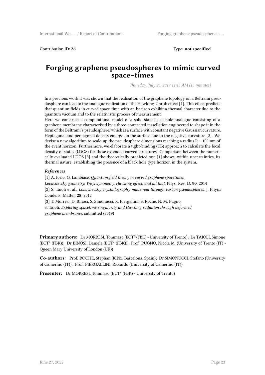Contribution ID: **26** Type: **not specified**

#### **Forging graphene pseudospheres to mimic curved space–times**

*Thursday, July 25, 2019 11:45 AM (15 minutes)*

In a previous work it was shown that the realization of the graphene topology on a Beltrami pseudosphere can lead to the analogue realization of the Hawking-Unruh effect [1]. This effect predicts that quantum fields in curved space-time with an horizon exhibit a thermal character due to the quantum vacuum and to the relativistic process of measurement.

Here we construct a computational model of a solid-state black-hole analogue consisting of a graphene membrane characterised by a three-connected tessellation engineered to shape it in the form of the Beltrami's pseudosphere, which is a surface with constant negative Gaussian curvature. Heptagonal and pentagonal defects emerge on the surface due to the negative curvature [2]. We devise a new algorithm to scale-up the pseudosphere dimensions reaching a radius R ∼ 100 nm of the event horizon. Furthermore, we elaborate a tight-binding (TB) approach to calculate the local density of states (LDOS) for these extended curved structures. Comparison between the numerically evaluated LDOS [3] and the theoretically predicted one [1] shows, within uncertainties, its thermal nature, establishing the presence of a black hole type horizon in the system.

#### *References*

[1] A. Iorio, G. Lambiase, *Quantum field theory in curved graphene spacetimes, Lobachevsky geometry, Weyl symmetry, Hawking effect, and all that*, Phys. Rev. D, **90**, 2014 [2] S. Taioli et al., *Lobachevsky crystallography made real through carbon pseudospheres*, J. Phys.: Condens. Matter, **28**, 2012

[3] T. Morresi, D. Binosi, S. Simonucci, R. Piergallini, S. Roche, N. M. Pugno, S. Taioli, *Exploring spacetime singularity and Hawking radiation through deformed graphene membranes*, submitted (2019)

**Primary authors:** Dr MORRESI, Tommaso (ECT\* (FBK) - University of Trento); Dr TAIOLI, Simone (ECT\* (FBK)); Dr BINOSI, Daniele (ECT\* (FBK)); Prof. PUGNO, Nicola M. (University of Trento (IT) - Queen Mary University of London (UK))

**Co-authors:** Prof. ROCHE, Stephan (ICN2, Barcelona, Spain); Dr SIMONUCCI, Stefano (University of Camerino (IT)); Prof. PIERGALLINI, Riccardo (University of Camerino (IT))

**Presenter:** Dr MORRESI, Tommaso (ECT<sup>\*</sup> (FBK) - University of Trento)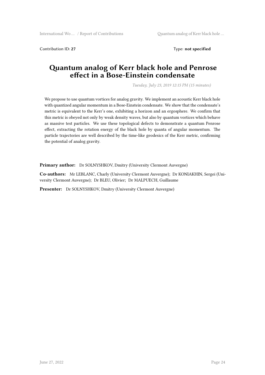Contribution ID: **27** Type: **not specified**

#### **Quantum analog of Kerr black hole and Penrose effect in a Bose-Einstein condensate**

*Tuesday, July 23, 2019 12:15 PM (15 minutes)*

We propose to use quantum vortices for analog gravity. We implement an acoustic Kerr black hole with quantized angular momentum in a Bose-Einstein condensate. We show that the condensate's metric is equivalent to the Kerr's one, exhibiting a horizon and an ergosphere. We confirm that this metric is obeyed not only by weak density waves, but also by quantum vortices which behave as massive test particles. We use these topological defects to demonstrate a quantum Penrose effect, extracting the rotation energy of the black hole by quanta of angular momentum. The particle trajectories are well described by the time-like geodesics of the Kerr metric, confirming the potential of analog gravity.

**Primary author:** Dr SOLNYSHKOV, Dmitry (University Clermont Auvergne)

**Co-authors:** Mr LEBLANC, Charly (University Clermont Auvergne); Dr KONIAKHIN, Sergei (University Clermont Auvergne); Dr BLEU, Olivier; Dr MALPUECH, Guillaume

**Presenter:** Dr SOLNYSHKOV, Dmitry (University Clermont Auvergne)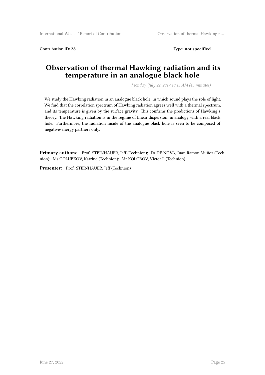Contribution ID: **28** Type: **not specified**

#### **Observation of thermal Hawking radiation and its temperature in an analogue black hole**

*Monday, July 22, 2019 10:15 AM (45 minutes)*

We study the Hawking radiation in an analogue black hole, in which sound plays the role of light. We find that the correlation spectrum of Hawking radiation agrees well with a thermal spectrum, and its temperature is given by the surface gravity. This confirms the predictions of Hawking's theory. The Hawking radiation is in the regime of linear dispersion, in analogy with a real black hole. Furthermore, the radiation inside of the analogue black hole is seen to be composed of negative-energy partners only.

**Primary authors:** Prof. STEINHAUER, Jeff (Technion); Dr DE NOVA, Juan Ramón Muñoz (Technion); Ms GOLUBKOV, Katrine (Technion); Mr KOLOBOV, Victor I. (Technion)

**Presenter:** Prof. STEINHAUER, Jeff (Technion)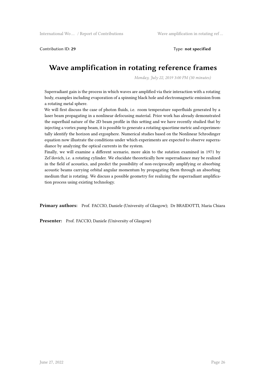Contribution ID: **29** Type: **not specified**

#### **Wave amplification in rotating reference frames**

*Monday, July 22, 2019 3:00 PM (30 minutes)*

Superradiant gain is the process in which waves are amplified via their interaction with a rotating body, examples including evaporation of a spinning black hole and electromagnetic emission from a rotating metal sphere.

We will first discuss the case of photon fluids, i.e. room temperature superfluids generated by a laser beam propagating in a nonlinear defocusing material. Prior work has already demonstrated the superfluid nature of the 2D beam profile in this setting and we have recently studied that by injecting a vortex pump beam, it is possible to generate a rotating spacetime metric and experimentally identify the horizon and ergosphere. Numerical studies based on the Nonlinear Schrodinger equation now illustrate the conditions under which experiments are expected to observe superradiance by analyzing the optical currents in the system.

Finally, we will examine a different scenario, more akin to the sutation examined in 1971 by Zel'dovich, i.e. a rotating cylinder. We elucidate theoretically how superradiance may be realized in the field of acoustics, and predict the possibility of non-reciprocally amplifying or absorbing acoustic beams carrying orbital angular momentum by propagating them through an absorbing medium that is rotating. We discuss a possible geometry for realizing the superradiant amplification process using existing technology.

**Primary authors:** Prof. FACCIO, Daniele (University of Glasgow); Dr BRAIDOTTI, Maria Chiara

**Presenter:** Prof. FACCIO, Daniele (University of Glasgow)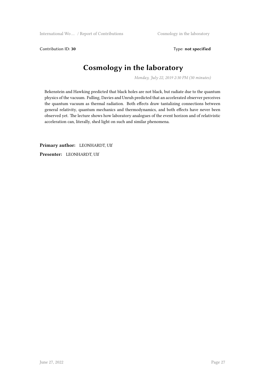Contribution ID: 30 Type: not specified

#### **Cosmology in the laboratory**

*Monday, July 22, 2019 2:30 PM (30 minutes)*

Bekenstein and Hawking predicted that black holes are not black, but radiate due to the quantum physics of the vacuum. Fulling, Davies and Unruh predicted that an accelerated observer perceives the quantum vacuum as thermal radiation. Both effects draw tantalizing connections between general relativity, quantum mechanics and thermodynamics, and both effects have never been observed yet. The lecture shows how laboratory analogues of the event horizon and of relativistic acceleration can, literally, shed light on such and similar phenomena.

**Primary author:** LEONHARDT, Ulf **Presenter:** LEONHARDT, Ulf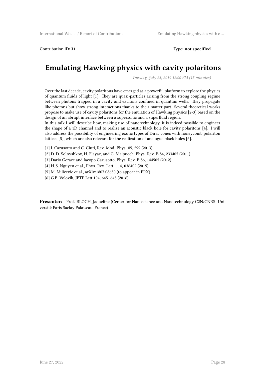Contribution ID: **31** Type: **not specified**

#### **Emulating Hawking physics with cavity polaritons**

*Tuesday, July 23, 2019 12:00 PM (15 minutes)*

Over the last decade, cavity polaritons have emerged as a powerful platform to explore the physics of quantum fluids of light [1]. They are quasi-particles arising from the strong coupling regime between photons trapped in a cavity and excitons confined in quantum wells. They propagate like photons but show strong interactions thanks to their matter part. Several theoretical works propose to make use of cavity polaritons for the emulation of Hawking physics [2-3] based on the design of an abrupt interface between a supersonic and a superfluid region.

In this talk I will describe how, making use of nanotechnology, it is indeed possible to engineer the shape of a 1D channel and to realize an acoustic black hole for cavity polaritons [4]. I will also address the possibility of engineering exotic types of Dirac cones with honeycomb polariton lattices [5], which are also relevant for the realization of analogue black holes [6].

- [1] I. Carusotto and C. Ciuti, Rev. Mod. Phys. 85, 299 (2013)
- [2] D. D. Solnyshkov, H. Flayac, and G. Malpuech, Phys. Rev. B 84, 233405 (2011)
- [3] Dario Gerace and Iacopo Carusotto, Phys. Rev. B 86, 144505 (2012)
- [4] H. S. Nguyen et al., Phys. Rev. Lett. 114, 036402 (2015)
- [5] M. Milicevic et al., arXiv:1807.08650 (to appear in PRX)
- [6] G.E. Volovik, JETP Lett.104, 645–648 (2016)

Presenter: Prof. BLOCH, Jaqueline (Center for Nanoscience and Nanotechnology C2N/CNRS-Université Paris Saclay Palaiseau, France)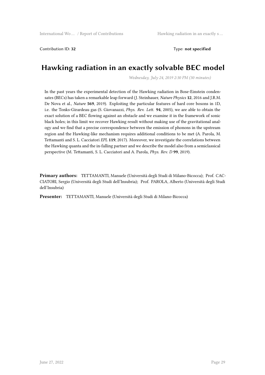Contribution ID: **32** Type: **not specified**

#### **Hawking radiation in an exactly solvable BEC model**

*Wednesday, July 24, 2019 2:30 PM (30 minutes)*

In the past years the experimental detection of the Hawking radiation in Bose-Einstein condensates (BECs) has taken a remarkable leap forward (J. Steinhauer, *Nature Physics* **12**, 2016 and J.R.M. De Nova et al., *Nature* **569**, 2019). Exploiting the particular features of hard core bosons in 1D, i.e. the Tonks-Girardeau gas (S. Giovanazzi, *Phys. Rev. Lett.* **94**, 2005), we are able to obtain the exact solution of a BEC flowing against an obstacle and we examine it in the framework of sonic black holes; in this limit we recover Hawking result without making use of the gravitational analogy and we find that a precise correspondence between the emission of phonons in the upstream region and the Hawking-like mechanism requires additional conditions to be met (A. Parola, M. Tettamanti and S. L. Cacciatori *EPL* **119**, 2017). Moreover, we investigate the correlations between the Hawking quanta and the in-falling partner and we describe the model also from a semiclassical perspective (M. Tettamanti, S. L. Cacciatori and A. Parola, *Phys. Rev. D* **99**, 2019).

**Primary authors:** TETTAMANTI, Manuele (Università degli Studi di Milano-Bicocca); Prof. CAC-CIATORI, Sergio (Università degli Studi dell'Insubria); Prof. PAROLA, Alberto (Università degli Studi dell'Insubria)

**Presenter:** TETTAMANTI, Manuele (Università degli Studi di Milano-Bicocca)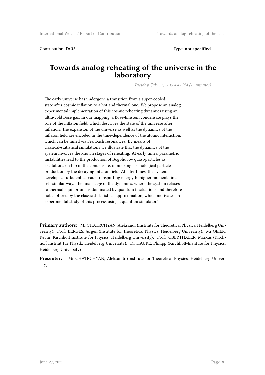Contribution ID: **33** Type: **not specified**

#### **Towards analog reheating of the universe in the laboratory**

*Tuesday, July 23, 2019 4:45 PM (15 minutes)*

The early universe has undergone a transition from a super-cooled state after cosmic inflation to a hot and thermal one. We propose an analog experimental implementation of this cosmic reheating dynamics using an ultra-cold Bose gas. In our mapping, a Bose-Einstein condensate plays the role of the inflaton field, which describes the state of the universe after inflation. The expansion of the universe as well as the dynamics of the inflaton field are encoded in the time-dependence of the atomic interaction, which can be tuned via Feshbach resonances. By means of classical-statistical simulations we illustrate that the dynamics of the system involves the known stages of reheating. At early times, parametric instabilities lead to the production of Bogoliubov quasi-particles as excitations on top of the condensate, mimicking cosmological particle production by the decaying inflaton field. At later times, the system develops a turbulent cascade transporting energy to higher momenta in a self-similar way. The final stage of the dynamics, where the system relaxes to thermal equilibrium, is dominated by quantum fluctuations and therefore not captured by the classical-statistical approximation, which motivates an experimental study of this process using a quantum simulator."

**Primary authors:** Mr CHATRCHYAN, Aleksandr (Institute for Theoretical Physics, Heidelberg University); Prof. BERGES, Jürgen (Institute for Theoretical Physics, Heidelberg University); Mr GEIER, Kevin (Kirchhoff Institute for Physics, Heidelberg University); Prof. OBERTHALER, Markus (Kirchhoff Institut für Physik, Heidelberg University); Dr HAUKE, Philipp (Kirchhoff-Institute for Physics, Heidelberg University)

**Presenter:** Mr CHATRCHYAN, Aleksandr (Institute for Theoretical Physics, Heidelberg University)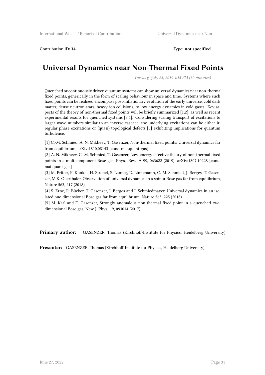Contribution ID: **34** Type: **not specified**

#### **Universal Dynamics near Non-Thermal Fixed Points**

*Tuesday, July 23, 2019 4:15 PM (30 minutes)*

Quenched or continuously driven quantum systems can show universal dynamics near non-thermal fixed points, generically in the form of scaling behaviour in space and time. Systems where such fixed points can be realized encompass post-inflationary evolution of the early universe, cold dark matter, dense neutron stars, heavy-ion collisions, to low-energy dynamics in cold gases. Key aspects of the theory of non-thermal fixed points will be briefly summarized [1,2], as well as recent experimental results for quenched systems [3,4]. Considering scaling transport of excitations to larger wave numbers similar to an inverse cascade, the underlying excitations can be either irregular phase excitations or (quasi) topological defects [5] exhibiting implications for quantum turbulence.

[1] C.-M. Schmied, A. N. Mikheev, T. Gasenzer, Non-thermal fixed points: Universal dynamics far from equilibrium, arXiv:1810.08143 [cond-mat.quant-gas]

[2] A. N. Mikheev, C.-M. Schmied, T. Gasenzer, Low-energy effective theory of non-thermal fixed points in a multicomponent Bose gas, Phys. Rev. A 99, 063622 (2019); arXiv:1807.10228 [condmat.quant-gas]

[3] M. Prüfer, P. Kunkel, H. Strobel, S. Lannig, D. Linnemann, C.-M. Schmied, J. Berges, T. Gasenzer, M.K. Oberthaler, Observation of universal dynamics in a spinor Bose gas far from equilibrium, Nature 563, 217 (2018).

[4] S. Erne, R. Bücker, T. Gasenzer, J. Berges and J. Schmiedmayer, Universal dynamics in an isolated one-dimensional Bose gas far from equilibrium, Nature 563, 225 (2018).

[5] M. Karl and T. Gasenzer, Strongly anomalous non-thermal fixed point in a quenched twodimensional Bose gas, New J. Phys. 19, 093014 (2017).

**Primary author:** GASENZER, Thomas (Kirchhoff-Institute for Physics, Heidelberg University)

**Presenter:** GASENZER, Thomas (Kirchhoff-Institute for Physics, Heidelberg University)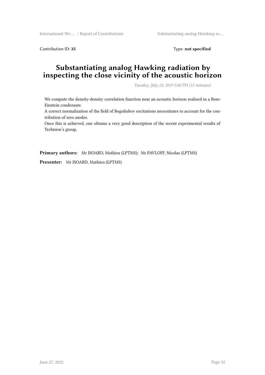Contribution ID: 35 Type: **not specified** 

#### **Substantiating analog Hawking radiation by inspecting the close vicinity of the acoustic horizon**

*Tuesday, July 23, 2019 5:00 PM (15 minutes)*

We compute the density-density correlation function near an acoustic horizon realized in a Bose-Einstein condensate.

A correct normalization of the field of Bogoliubov excitations necessitates to account for the contribution of zero modes.

Once this is achieved, one obtains a very good description of the recent experimental results of Technion's group.

**Primary authors:** Mr ISOARD, Mathieu (LPTMS); Mr PAVLOFF, Nicolas (LPTMS)

**Presenter:** Mr ISOARD, Mathieu (LPTMS)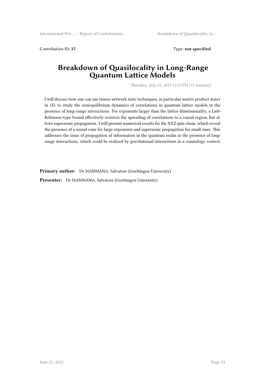Contribution ID: **37** Type: **not specified**

#### **Breakdown of Quasilocality in Long-Range Quantum Lattice Models**

*Thursday, July 25, 2019 12:15 PM (15 minutes)*

I will discuss how one can use tensor network state techniques, in particular matrix product states in 1D, to study the nonequilibrium dynamics of correlations in quantum lattice models in the presence of long-range interactions. For exponents larger than the lattice dimensionality, a Lieb-Robinson-type bound effectively restricts the spreading of correlations to a causal region, but allows supersonic propagation. I will present numerical results for the XXZ spin chain, which reveal the presence of a sound cone for large exponents and supersonic propagation for small ones. This addresses the issue of propagation of information in the quantum realm in the presence of longrange interactions, which could be realized by gravitational interactions in a cosmology context.

Primary author: Dr MANMANA, Salvatore (Goettingen University)

**Presenter:** Dr MANMANA, Salvatore (Goettingen University)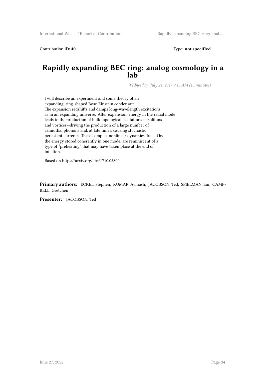Contribution ID: **40** Type: **not specified**

#### **Rapidly expanding BEC ring: analog cosmology in a lab**

*Wednesday, July 24, 2019 9:45 AM (45 minutes)*

I will describe an experiment and some theory of an expanding, ring-shaped Bose-Einstein condensate. The expansion redshifts and damps long-wavelength excitations, as in an expanding universe. After expansion, energy in the radial mode leads to the production of bulk topological excitations—–solitons and vortices—driving the production of a large number of azimuthal phonons and, at late times, causing stochastic persistent currents. These complex nonlinear dynamics, fueled by the energy stored coherently in one mode, are reminiscent of a type of "preheating" that may have taken place at the end of inflation.

Based on https://arxiv.org/abs/1710.05800

**Primary authors:** ECKEL, Stephen; KUMAR, Avinash; JACOBSON, Ted; SPIELMAN, Ian; CAMP-BELL, Gretchen

**Presenter:** JACOBSON, Ted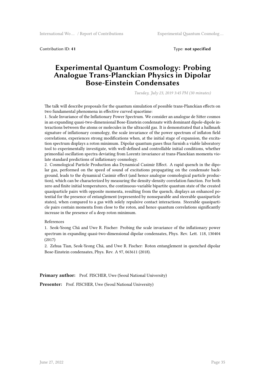Contribution ID: **41** Type: **not specified**

#### **Experimental Quantum Cosmology: Probing Analogue Trans-Planckian Physics in Dipolar Bose-Einstein Condensates**

*Tuesday, July 23, 2019 3:45 PM (30 minutes)*

The talk will describe proposals for the quantum simulation of possible trans-Planckian effects on two fundamental phenomena in effective curved spacetime:

1. Scale Invariance of the Inflationary Power Spectrum. We consider an analogue de Sitter cosmos in an expanding quasi-two-dimensional Bose-Einstein condensate with dominant dipole-dipole interactions between the atoms or molecules in the ultracold gas. It is demonstrated that a hallmark signature of inflationary cosmology, the scale invariance of the power spectrum of inflaton field correlations, experiences strong modifications when, at the initial stage of expansion, the excitation spectrum displays a roton minimum. Dipolar quantum gases thus furnish a viable laboratory tool to experimentally investigate, with well-defined and controllable initial conditions, whether primordial oscillation spectra deviating from Lorentz invariance at trans-Planckian momenta violate standard predictions of inflationary cosmology.

2. Cosmological Particle Production aka Dynamical Casimir Effect. A rapid quench in the dipolar gas, performed on the speed of sound of excitations propagating on the condensate background, leads to the dynamical Casimir effect (and hence analogue cosmological particle production), which can be characterized by measuring the density-density correlation function. For both zero and finite initial temperatures, the continuous-variable bipartite quantum state of the created quasiparticle pairs with opposite momenta, resulting from the quench, displays an enhanced potential for the presence of entanglement (represented by nonseparable and steerable quasiparticle states), when compared to a gas with solely repulsive contact interactions. Steerable quasiparticle pairs contain momenta from close to the roton, and hence quantum correlations significantly increase in the presence of a deep roton minimum.

#### References

1. Seok-Yeong Chä and Uwe R. Fischer: Probing the scale invariance of the inflationary power spectrum in expanding quasi-two-dimensional dipolar condensates, Phys. Rev. Lett. 118, 130404 (2017)

2. Zehua Tian, Seok-Yeong Chä, and Uwe R. Fischer: Roton entanglement in quenched dipolar Bose-Einstein condensates, Phys. Rev. A 97, 063611 (2018).

Primary author: Prof. FISCHER, Uwe (Seoul National University)

**Presenter:** Prof. FISCHER, Uwe (Seoul National University)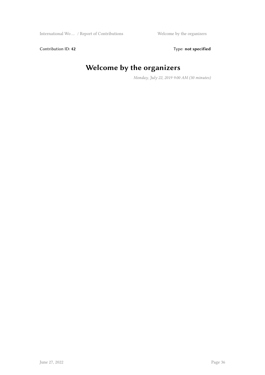Contribution ID: 42 Type: **not specified** 

## **Welcome by the organizers**

*Monday, July 22, 2019 9:00 AM (30 minutes)*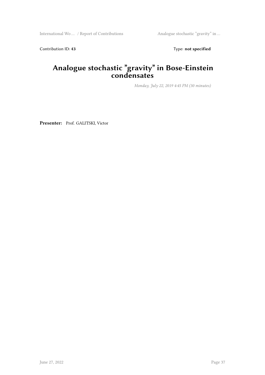International Wo ... / Report of Contributions Analogue stochastic "gravity" in ...

Contribution ID: 43 Type: **not specified** 

#### **Analogue stochastic "gravity" in Bose-Einstein condensates**

*Monday, July 22, 2019 4:45 PM (30 minutes)*

**Presenter:** Prof. GALITSKI, Victor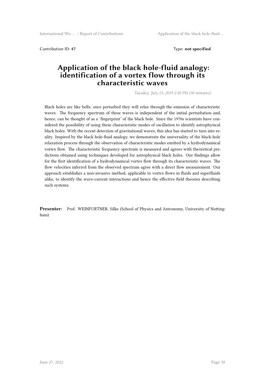Contribution ID: **47** Type: **not specified**

#### **Application of the black hole-fluid analogy: identification of a vortex flow through its characteristic waves**

*Tuesday, July 23, 2019 2:30 PM (30 minutes)*

Black holes are like bells; once perturbed they will relax through the emission of characteristic waves. The frequency spectrum of these waves is independent of the initial perturbation and, hence, can be thought of as a 'fingerprint' of the black hole. Since the 1970s scientists have considered the possibility of using these characteristic modes of oscillation to identify astrophysical black holes. With the recent detection of gravitational waves, this idea has started to turn into reality. Inspired by the black hole-fluid analogy, we demonstrate the universality of the black-hole relaxation process through the observation of characteristic modes emitted by a hydrodynamical vortex flow. The characteristic frequency spectrum is measured and agrees with theoretical predictions obtained using techniques developed for astrophysical black holes. Our findings allow for the first identification of a hydrodynamical vortex flow through its characteristic waves. The flow velocities inferred from the observed spectrum agree with a direct flow measurement. Our approach establishes a non-invasive method, applicable to vortex flows in fluids and superfluids alike, to identify the wave-current interactions and hence the effective field theories describing such systems.

**Presenter:** Prof. WEINFURTNER, Silke (School of Physics and Astronomy, University of Nottingham)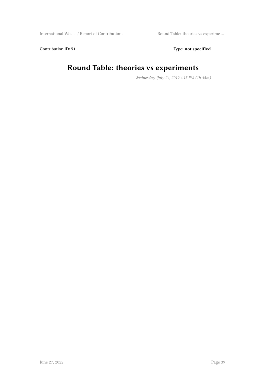Contribution ID: 51 Type: **not specified** 

## **Round Table: theories vs experiments**

*Wednesday, July 24, 2019 4:15 PM (1h 45m)*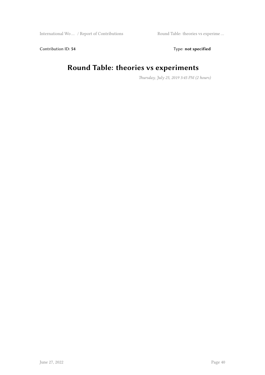Contribution ID: 54 Type: **not specified** 

### **Round Table: theories vs experiments**

*Thursday, July 25, 2019 3:45 PM (2 hours)*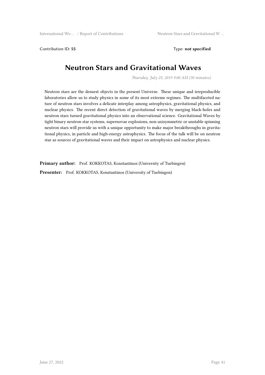Contribution ID: **55** Type: **not specified**

#### **Neutron Stars and Gravitational Waves**

*Thursday, July 25, 2019 9:00 AM (30 minutes)*

Neutron stars are the densest objects in the present Universe. These unique and irreproducible laboratories allow us to study physics in some of its most extreme regimes. The multifaceted nature of neutron stars involves a delicate interplay among astrophysics, gravitational physics, and nuclear physics. The recent direct detection of gravitational waves by merging black-holes and neutron stars turned gravitational physics into an observational science. Gravitational Waves by tight binary neutron star systems, supernovae explosions, non-axisymmetric or unstable spinning neutron stars will provide us with a unique opportunity to make major breakthroughs in gravitational physics, in particle and high-energy astrophysics. The focus of the talk will be on neutron star as sources of gravitational waves and their impact on astrophysics and nuclear physics.

**Primary author:** Prof. KOKKOTAS, Konstantinos (University of Tuebingen) **Presenter:** Prof. KOKKOTAS, Konstantinos (University of Tuebingen)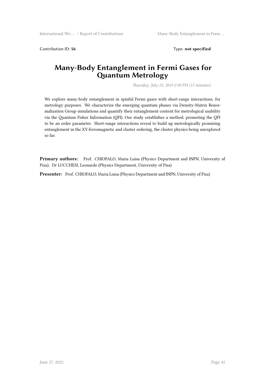Contribution ID: 56 Type: **not specified** 

#### **Many-Body Entanglement in Fermi Gases for Quantum Metrology**

*Thursday, July 25, 2019 2:30 PM (15 minutes)*

We explore many-body entanglement in spinful Fermi gases with short-range interactions, for metrology purposes. We characterize the emerging quantum phases via Density-Matrix Renormalization Group simulations and quantify their entanglement content for metrological usability via the Quantum Fisher Information (QFI). Our study establishes a method, promoting the QFI to be an order parameter. Short-range interactions reveal to build up metrologically promising entanglement in the XY-ferromagnetic and cluster ordering, the cluster physics being unexplored so far.

**Primary authors:** Prof. CHIOFALO, Maria Luisa (Physics Department and INFN, University of Pisa); Dr LUCCHESI, Leonardo (Physics Department, University of Pisa)

**Presenter:** Prof. CHIOFALO, Maria Luisa (Physics Department and INFN, University of Pisa)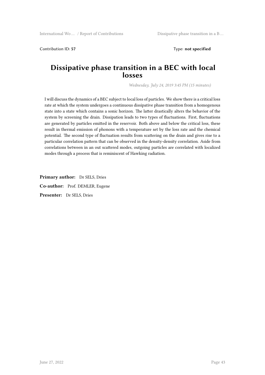Contribution ID: **57** Type: **not specified**

#### **Dissipative phase transition in a BEC with local losses**

*Wednesday, July 24, 2019 3:45 PM (15 minutes)*

I will discuss the dynamics of a BEC subject to local loss of particles. We show there is a critical loss rate at which the system undergoes a continuous dissipative phase transition from a homogenous state into a state which contains a sonic horizon. The latter drastically alters the behavior of the system by screening the drain. Dissipation leads to two types of fluctuations. First, fluctuations are generated by particles emitted in the reservoir. Both above and below the critical loss, these result in thermal emission of phonons with a temperature set by the loss rate and the chemical potential. The second type of fluctuation results from scattering on the drain and gives rise to a particular correlation pattern that can be observed in the density-density correlation. Aside from correlations between in an out scattered modes, outgoing particles are correlated with localized modes through a process that is reminiscent of Hawking radiation.

**Primary author:** Dr SELS, Dries **Co-author:** Prof. DEMLER, Eugene **Presenter:** Dr SELS, Dries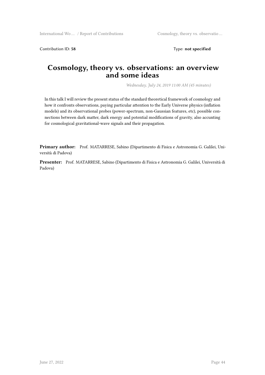Contribution ID: **58** Type: **not specified**

#### **Cosmology, theory vs. observations: an overview and some ideas**

*Wednesday, July 24, 2019 11:00 AM (45 minutes)*

In this talk I will review the present status of the standard theoretical framework of cosmology and how it confronts observations, paying particular attention to the Early Universe physics (inflation models) and its observational probes (power-spectrum, non-Gaussian features, etc), possible connections between dark matter, dark energy and potential modifications of gravity, also accunting for cosmological gravitational-wave signals and their propagation.

**Primary author:** Prof. MATARRESE, Sabino (Dipartimento di Fisica e Astronomia G. Galilei, Università di Padova)

**Presenter:** Prof. MATARRESE, Sabino (Dipartimento di Fisica e Astronomia G. Galilei, Università di Padova)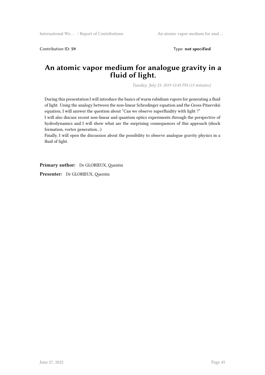Contribution ID: 59 Type: **not specified** 

#### **An atomic vapor medium for analogue gravity in a fluid of light.**

*Tuesday, July 23, 2019 12:45 PM (15 minutes)*

During this presentation I will introduce the basics of warm rubidium vapors for generating a fluid of light. Using the analogy between the non-linear Schrodinger equation and the Gross-Pitaevskii equation, I will answer the question about "Can we observe superfluidity with light ?"

I will also discuss recent non-linear and quantum optics experiments through the perspective of hydrodynamics and I will show what are the surprising consequences of this approach (shock formation, vortex generation…)

Finally, I will open the discussion about the possibility to observe analogue gravity physics in a fluid of light.

**Primary author:** Dr GLORIEUX, Quentin

**Presenter:** Dr GLORIEUX, Quentin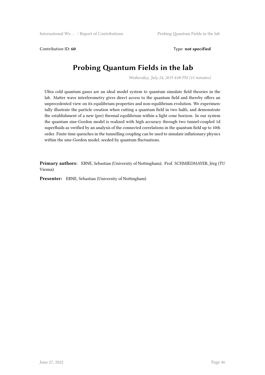Contribution ID: 60 Type: **not specified** 

#### **Probing Quantum Fields in the lab**

*Wednesday, July 24, 2019 4:00 PM (15 minutes)*

Ultra cold quantum gases are an ideal model system to quantum simulate field theories in the lab. Matter wave interferometry gives direct access to the quantum field and thereby offers an unprecedented view on its equilibrium properties and non-equilibrium evolution. We experimentally illustrate the particle creation when cutting a quantum field in two halfs, and demonstrate the establishment of a new (pre) thermal equilibrium within a light cone horizon. In our system the quantum sine-Gordon model is realized with high accuracy through two tunnel-coupled 1d superfluids as verified by an analysis of the connected correlations in the quantum field up to 10th order. Finite time quenches in the tunnelling coupling can be used to simulate inflationary physics within the sine-Gordon model, seeded by quantum fluctuations.

**Primary authors:** ERNE, Sebastian (University of Nottingham); Prof. SCHMIEDMAYER, Jörg (TU Vienna)

**Presenter:** ERNE, Sebastian (University of Nottingham)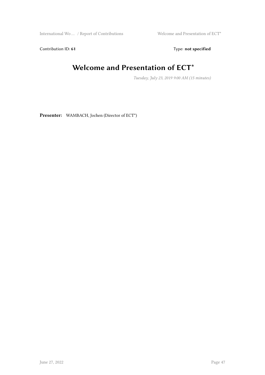International Wo ... / Report of Contributions Welcome and Presentation of ECT\*

Contribution ID: 61 Type: **not specified** 

## **Welcome and Presentation of ECT\***

*Tuesday, July 23, 2019 9:00 AM (15 minutes)*

**Presenter:** WAMBACH, Jochen (Director of ECT\*)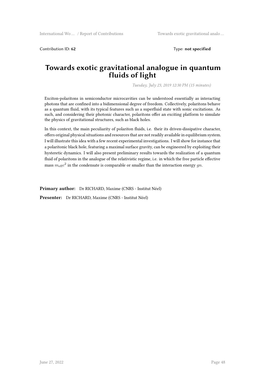Contribution ID: 62 Type: **not specified** 

#### **Towards exotic gravitational analogue in quantum fluids of light**

*Tuesday, July 23, 2019 12:30 PM (15 minutes)*

Exciton-polaritons in semiconductor microcavities can be understood essentially as interacting photons that are confined into a bidimensional degree of freedom. Collectively, polaritons behave as a quantum fluid, with its typical features such as a superfluid state with sonic excitations. As such, and considering their photonic character, polaritons offer an exciting platform to simulate the physics of gravitational structures, such as black holes.

In this context, the main peculiarity of polariton fluids, i.e. their its driven-dissipative character, offers original physical situations and resources that are not readily available in equilibrium system. I will illustrate this idea with a few recent experimental investigations. I will show for instance that a polaritonic black hole, featuring a maximal surface gravity, can be engineered by exploiting their hysteretic dynamics. I will also present preliminary results towards the realization of a quantum fluid of polaritons in the analogue of the relativistic regime, i.e. in which the free particle effective mass  $m_{\rm eff}c^2$  in the condensate is comparable or smaller than the interaction energy  $gn$ .

**Primary author:** Dr RICHARD, Maxime (CNRS - Institut Néel)

**Presenter:** Dr RICHARD, Maxime (CNRS - Institut Néel)